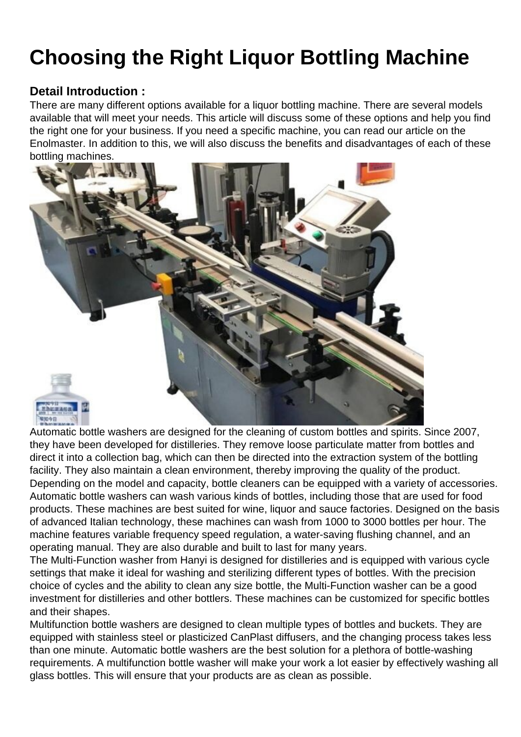## Choosing the Right Liquor Bottling Machine

## Detail Introduction :

There are many different options available for a [liquor bottling machine.](https://hanyipack.com/) There are several models available that will meet your needs. This article will discuss some of these options and help you find the right one for your business. If you need a specific machine, you can read our article on the Enolmaster. In addition to this, we will also discuss the benefits and disadvantages of each of these bottling machines.

Automatic bottle washers are designed for the cleaning of custom bottles and spirits. Since 2007, they have been developed for distilleries. They remove loose particulate matter from bottles and direct it into a collection bag, which can then be directed into the extraction system of the bottling facility. They also maintain a clean environment, thereby improving the quality of the product. Depending on the model and capacity, bottle cleaners can be equipped with a variety of accessories. Automatic bottle washers can wash various kinds of bottles, including those that are used for food products. These machines are best suited for wine, liquor and sauce factories. Designed on the basis of advanced Italian technology, these machines can wash from 1000 to 3000 bottles per hour. The machine features variable frequency speed regulation, a water-saving flushing channel, and an operating manual. They are also durable and built to last for many years.

The Multi-Function washer from Hanyi is designed for distilleries and is equipped with various cycle settings that make it ideal for washing and sterilizing different types of bottles. With the precision choice of cycles and the ability to clean any size bottle, the Multi-Function washer can be a good investment for distilleries and other bottlers. These machines can be customized for specific bottles and their shapes.

Multifunction bottle washers are designed to clean multiple types of bottles and buckets. They are equipped with stainless steel or plasticized CanPlast diffusers, and the changing process takes less than one minute. Automatic bottle washers are the best solution for a plethora of bottle-washing requirements. A multifunction bottle washer will make your work a lot easier by effectively washing all glass bottles. This will ensure that your products are as clean as possible.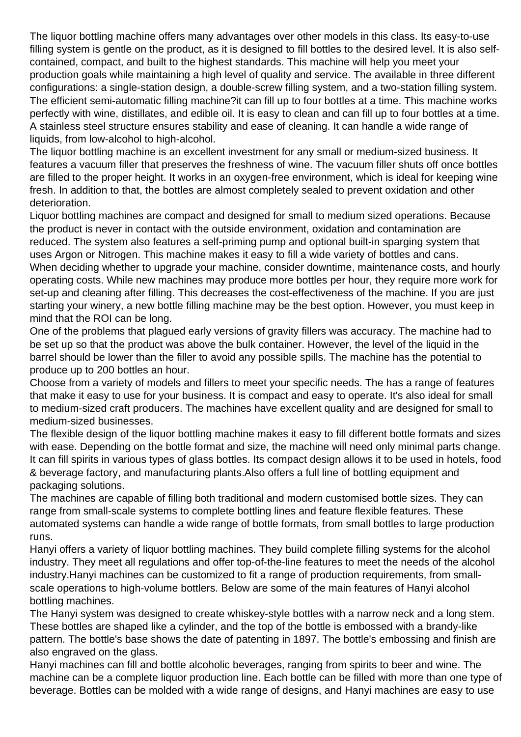The liquor bottling machine offers many advantages over other models in this class. Its easy-to-use filling system is gentle on the product, as it is designed to fill bottles to the desired level. It is also selfcontained, compact, and built to the highest standards. This machine will help you meet your production goals while maintaining a high level of quality and service. The available in three different configurations: a single-station design, a double-screw filling system, and a two-station filling system. The efficient semi-automatic filling machine?it can fill up to four bottles at a time. This machine works perfectly with wine, distillates, and edible oil. It is easy to clean and can fill up to four bottles at a time. A stainless steel structure ensures stability and ease of cleaning. It can handle a wide range of liquids, from low-alcohol to high-alcohol.

The [liquor bottling machine](https://hanyipack.com/professional-guide-to-industrial-inkjet-printer/) is an excellent investment for any small or medium-sized business. It features a vacuum filler that preserves the freshness of wine. The vacuum filler shuts off once bottles are filled to the proper height. It works in an oxygen-free environment, which is ideal for keeping wine fresh. In addition to that, the bottles are almost completely sealed to prevent oxidation and other deterioration.

Liquor bottling machines are compact and designed for small to medium sized operations. Because the product is never in contact with the outside environment, oxidation and contamination are reduced. The system also features a self-priming pump and optional built-in sparging system that uses Argon or Nitrogen. This machine makes it easy to fill a wide variety of bottles and cans. When deciding whether to upgrade your machine, consider downtime, maintenance costs, and hourly operating costs. While new machines may produce more bottles per hour, they require more work for set-up and cleaning after filling. This decreases the cost-effectiveness of the machine. If you are just starting your winery, a new bottle filling machine may be the best option. However, you must keep in mind that the ROI can be long.

One of the problems that plagued early versions of gravity fillers was accuracy. The machine had to be set up so that the product was above the bulk container. However, the level of the liquid in the barrel should be lower than the filler to avoid any possible spills. The machine has the potential to produce up to 200 bottles an hour.

Choose from a variety of models and fillers to meet your specific needs. The has a range of features that make it easy to use for your business. It is compact and easy to operate. It's also ideal for small to medium-sized craft producers. The machines have excellent quality and are designed for small to medium-sized businesses.

The flexible design of the liquor bottling machine makes it easy to fill different bottle formats and sizes with ease. Depending on the bottle format and size, the machine will need only minimal parts change. It can fill spirits in various types of glass bottles. Its compact design allows it to be used in hotels, food & beverage factory, and manufacturing plants.Also offers a full line of bottling equipment and packaging solutions.

The machines are capable of filling both traditional and modern customised bottle sizes. They can range from small-scale systems to complete bottling lines and feature flexible features. These automated systems can handle a wide range of bottle formats, from small bottles to large production runs.

Hanyi offers a variety of liquor bottling machines. They build complete filling systems for the alcohol industry. They meet all regulations and offer top-of-the-line features to meet the needs of the alcohol industry.Hanyi machines can be customized to fit a range of production requirements, from smallscale operations to high-volume bottlers. Below are some of the main features of Hanyi alcohol bottling machines.

The Hanyi system was designed to create whiskey-style bottles with a narrow neck and a long stem. These bottles are shaped like a cylinder, and the top of the bottle is embossed with a brandy-like pattern. The bottle's base shows the date of patenting in 1897. The bottle's embossing and finish are also engraved on the glass.

Hanyi machines can fill and bottle alcoholic beverages, ranging from spirits to beer and wine. The machine can be a complete liquor production line. Each bottle can be filled with more than one type of beverage. Bottles can be molded with a wide range of designs, and Hanyi machines are easy to use